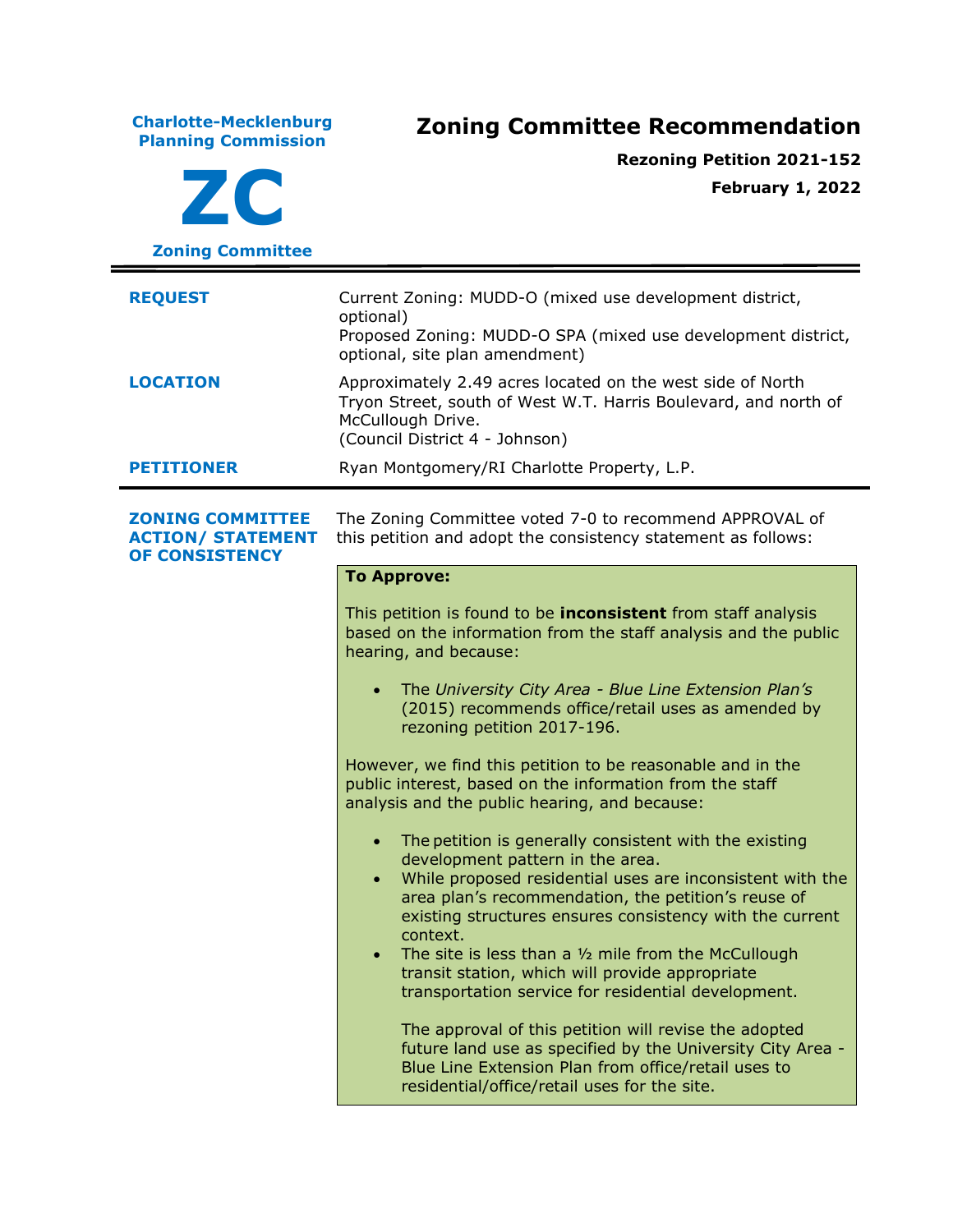**Charlotte-Mecklenburg Planning Commission Zoning Committee Recommendation ZC Zoning Committee Rezoning Petition 2021-152 February 1, 2022 REQUEST** Current Zoning: MUDD-O (mixed use development district, optional) Proposed Zoning: MUDD-O SPA (mixed use development district, optional, site plan amendment) **LOCATION** Approximately 2.49 acres located on the west side of North Tryon Street, south of West W.T. Harris Boulevard, and north of McCullough Drive. (Council District 4 - Johnson) **PETITIONER** Ryan Montgomery/RI Charlotte Property, L.P. **ZONING COMMITTEE ACTION/ STATEMENT OF CONSISTENCY** The Zoning Committee voted 7-0 to recommend APPROVAL of this petition and adopt the consistency statement as follows: **To Approve:** This petition is found to be **inconsistent** from staff analysis based on the information from the staff analysis and the public hearing, and because: • The *University City Area - Blue Line Extension Plan's* (2015) recommends office/retail uses as amended by rezoning petition 2017-196. However, we find this petition to be reasonable and in the public interest, based on the information from the staff analysis and the public hearing, and because: • The petition is generally consistent with the existing development pattern in the area. • While proposed residential uses are inconsistent with the area plan's recommendation, the petition's reuse of existing structures ensures consistency with the current context. The site is less than a  $1/2$  mile from the McCullough transit station, which will provide appropriate transportation service for residential development. The approval of this petition will revise the adopted future land use as specified by the University City Area - Blue Line Extension Plan from office/retail uses to residential/office/retail uses for the site.